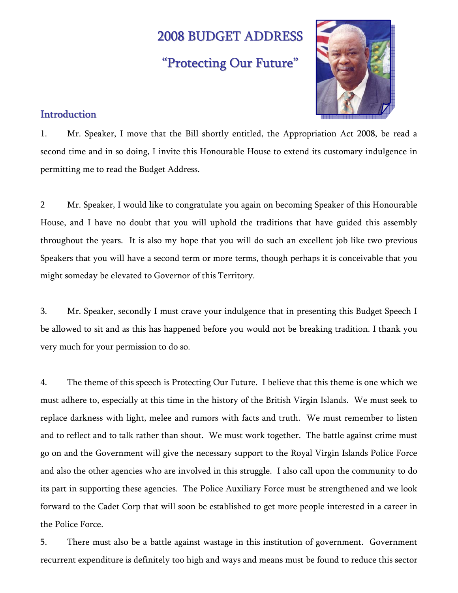# 2008 BUDGET ADDRESS

# "Protecting Our Future"



# **Introduction**

1. Mr. Speaker, I move that the Bill shortly entitled, the Appropriation Act 2008, be read a second time and in so doing, I invite this Honourable House to extend its customary indulgence in permitting me to read the Budget Address.

2 Mr. Speaker, I would like to congratulate you again on becoming Speaker of this Honourable House, and I have no doubt that you will uphold the traditions that have guided this assembly throughout the years. It is also my hope that you will do such an excellent job like two previous Speakers that you will have a second term or more terms, though perhaps it is conceivable that you might someday be elevated to Governor of this Territory.

3. Mr. Speaker, secondly I must crave your indulgence that in presenting this Budget Speech I be allowed to sit and as this has happened before you would not be breaking tradition. I thank you very much for your permission to do so.

4. The theme of this speech is Protecting Our Future. I believe that this theme is one which we must adhere to, especially at this time in the history of the British Virgin Islands. We must seek to replace darkness with light, melee and rumors with facts and truth. We must remember to listen and to reflect and to talk rather than shout. We must work together. The battle against crime must go on and the Government will give the necessary support to the Royal Virgin Islands Police Force and also the other agencies who are involved in this struggle. I also call upon the community to do its part in supporting these agencies. The Police Auxiliary Force must be strengthened and we look forward to the Cadet Corp that will soon be established to get more people interested in a career in the Police Force.

5. There must also be a battle against wastage in this institution of government. Government recurrent expenditure is definitely too high and ways and means must be found to reduce this sector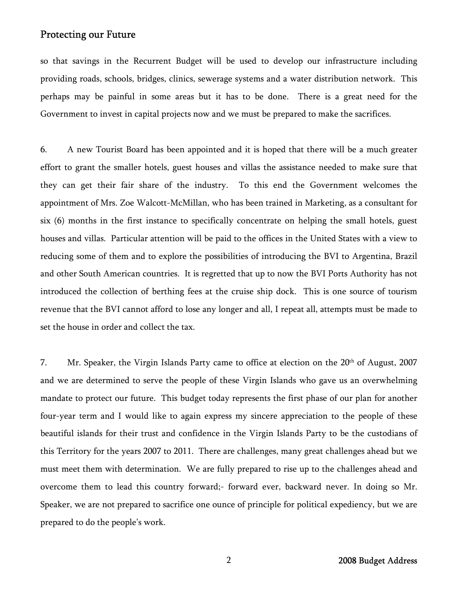so that savings in the Recurrent Budget will be used to develop our infrastructure including providing roads, schools, bridges, clinics, sewerage systems and a water distribution network. This perhaps may be painful in some areas but it has to be done. There is a great need for the Government to invest in capital projects now and we must be prepared to make the sacrifices.

6. A new Tourist Board has been appointed and it is hoped that there will be a much greater effort to grant the smaller hotels, guest houses and villas the assistance needed to make sure that they can get their fair share of the industry. To this end the Government welcomes the appointment of Mrs. Zoe Walcott-McMillan, who has been trained in Marketing, as a consultant for six (6) months in the first instance to specifically concentrate on helping the small hotels, guest houses and villas. Particular attention will be paid to the offices in the United States with a view to reducing some of them and to explore the possibilities of introducing the BVI to Argentina, Brazil and other South American countries. It is regretted that up to now the BVI Ports Authority has not introduced the collection of berthing fees at the cruise ship dock. This is one source of tourism revenue that the BVI cannot afford to lose any longer and all, I repeat all, attempts must be made to set the house in order and collect the tax.

7. Mr. Speaker, the Virgin Islands Party came to office at election on the 20<sup>th</sup> of August, 2007 and we are determined to serve the people of these Virgin Islands who gave us an overwhelming mandate to protect our future. This budget today represents the first phase of our plan for another four-year term and I would like to again express my sincere appreciation to the people of these beautiful islands for their trust and confidence in the Virgin Islands Party to be the custodians of this Territory for the years 2007 to 2011. There are challenges, many great challenges ahead but we must meet them with determination. We are fully prepared to rise up to the challenges ahead and overcome them to lead this country forward;- forward ever, backward never. In doing so Mr. Speaker, we are not prepared to sacrifice one ounce of principle for political expediency, but we are prepared to do the people's work.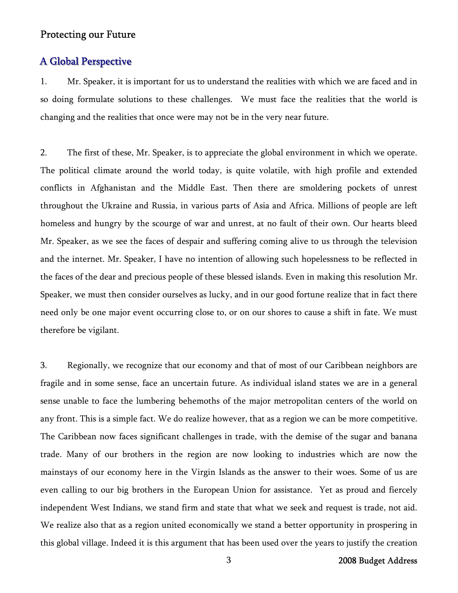# A Global Perspective

1. Mr. Speaker, it is important for us to understand the realities with which we are faced and in so doing formulate solutions to these challenges. We must face the realities that the world is changing and the realities that once were may not be in the very near future.

2. The first of these, Mr. Speaker, is to appreciate the global environment in which we operate. The political climate around the world today, is quite volatile, with high profile and extended conflicts in Afghanistan and the Middle East. Then there are smoldering pockets of unrest throughout the Ukraine and Russia, in various parts of Asia and Africa. Millions of people are left homeless and hungry by the scourge of war and unrest, at no fault of their own. Our hearts bleed Mr. Speaker, as we see the faces of despair and suffering coming alive to us through the television and the internet. Mr. Speaker, I have no intention of allowing such hopelessness to be reflected in the faces of the dear and precious people of these blessed islands. Even in making this resolution Mr. Speaker, we must then consider ourselves as lucky, and in our good fortune realize that in fact there need only be one major event occurring close to, or on our shores to cause a shift in fate. We must therefore be vigilant.

3. Regionally, we recognize that our economy and that of most of our Caribbean neighbors are fragile and in some sense, face an uncertain future. As individual island states we are in a general sense unable to face the lumbering behemoths of the major metropolitan centers of the world on any front. This is a simple fact. We do realize however, that as a region we can be more competitive. The Caribbean now faces significant challenges in trade, with the demise of the sugar and banana trade. Many of our brothers in the region are now looking to industries which are now the mainstays of our economy here in the Virgin Islands as the answer to their woes. Some of us are even calling to our big brothers in the European Union for assistance. Yet as proud and fiercely independent West Indians, we stand firm and state that what we seek and request is trade, not aid. We realize also that as a region united economically we stand a better opportunity in prospering in this global village. Indeed it is this argument that has been used over the years to justify the creation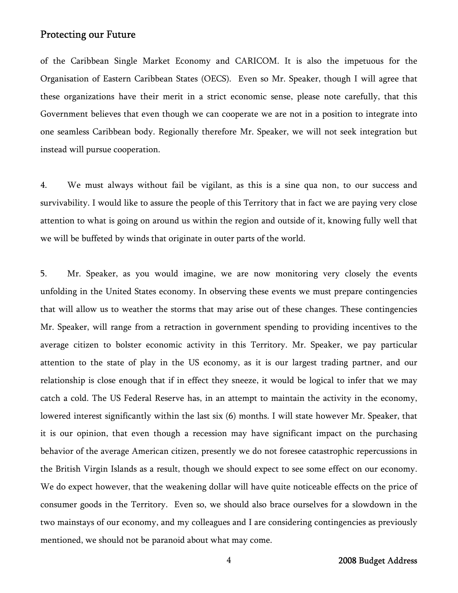of the Caribbean Single Market Economy and CARICOM. It is also the impetuous for the Organisation of Eastern Caribbean States (OECS). Even so Mr. Speaker, though I will agree that these organizations have their merit in a strict economic sense, please note carefully, that this Government believes that even though we can cooperate we are not in a position to integrate into one seamless Caribbean body. Regionally therefore Mr. Speaker, we will not seek integration but instead will pursue cooperation.

4. We must always without fail be vigilant, as this is a sine qua non, to our success and survivability. I would like to assure the people of this Territory that in fact we are paying very close attention to what is going on around us within the region and outside of it, knowing fully well that we will be buffeted by winds that originate in outer parts of the world.

5. Mr. Speaker, as you would imagine, we are now monitoring very closely the events unfolding in the United States economy. In observing these events we must prepare contingencies that will allow us to weather the storms that may arise out of these changes. These contingencies Mr. Speaker, will range from a retraction in government spending to providing incentives to the average citizen to bolster economic activity in this Territory. Mr. Speaker, we pay particular attention to the state of play in the US economy, as it is our largest trading partner, and our relationship is close enough that if in effect they sneeze, it would be logical to infer that we may catch a cold. The US Federal Reserve has, in an attempt to maintain the activity in the economy, lowered interest significantly within the last six (6) months. I will state however Mr. Speaker, that it is our opinion, that even though a recession may have significant impact on the purchasing behavior of the average American citizen, presently we do not foresee catastrophic repercussions in the British Virgin Islands as a result, though we should expect to see some effect on our economy. We do expect however, that the weakening dollar will have quite noticeable effects on the price of consumer goods in the Territory. Even so, we should also brace ourselves for a slowdown in the two mainstays of our economy, and my colleagues and I are considering contingencies as previously mentioned, we should not be paranoid about what may come.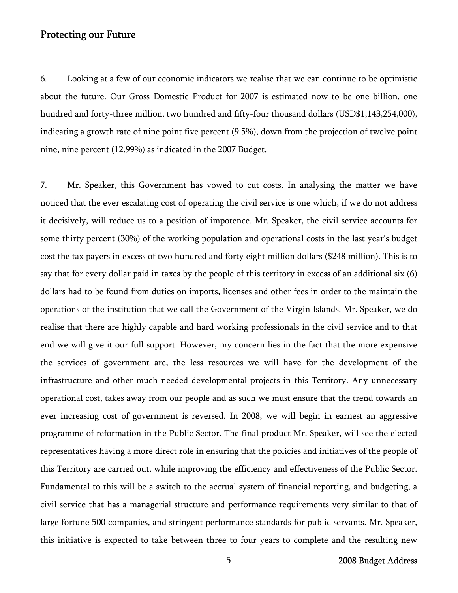6. Looking at a few of our economic indicators we realise that we can continue to be optimistic about the future. Our Gross Domestic Product for 2007 is estimated now to be one billion, one hundred and forty-three million, two hundred and fifty-four thousand dollars (USD\$1,143,254,000), indicating a growth rate of nine point five percent (9.5%), down from the projection of twelve point nine, nine percent (12.99%) as indicated in the 2007 Budget.

7. Mr. Speaker, this Government has vowed to cut costs. In analysing the matter we have noticed that the ever escalating cost of operating the civil service is one which, if we do not address it decisively, will reduce us to a position of impotence. Mr. Speaker, the civil service accounts for some thirty percent (30%) of the working population and operational costs in the last year's budget cost the tax payers in excess of two hundred and forty eight million dollars (\$248 million). This is to say that for every dollar paid in taxes by the people of this territory in excess of an additional six (6) dollars had to be found from duties on imports, licenses and other fees in order to the maintain the operations of the institution that we call the Government of the Virgin Islands. Mr. Speaker, we do realise that there are highly capable and hard working professionals in the civil service and to that end we will give it our full support. However, my concern lies in the fact that the more expensive the services of government are, the less resources we will have for the development of the infrastructure and other much needed developmental projects in this Territory. Any unnecessary operational cost, takes away from our people and as such we must ensure that the trend towards an ever increasing cost of government is reversed. In 2008, we will begin in earnest an aggressive programme of reformation in the Public Sector. The final product Mr. Speaker, will see the elected representatives having a more direct role in ensuring that the policies and initiatives of the people of this Territory are carried out, while improving the efficiency and effectiveness of the Public Sector. Fundamental to this will be a switch to the accrual system of financial reporting, and budgeting, a civil service that has a managerial structure and performance requirements very similar to that of large fortune 500 companies, and stringent performance standards for public servants. Mr. Speaker, this initiative is expected to take between three to four years to complete and the resulting new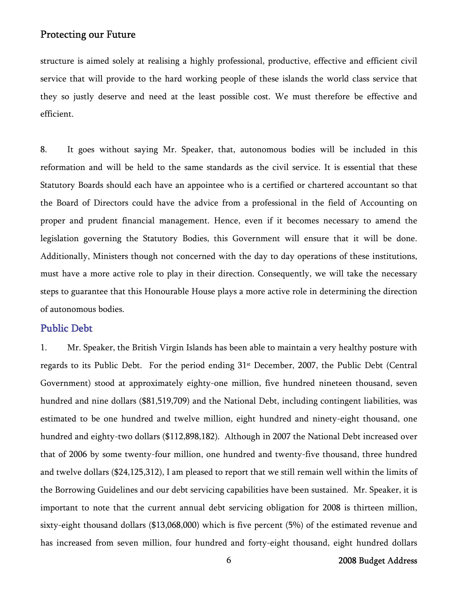structure is aimed solely at realising a highly professional, productive, effective and efficient civil service that will provide to the hard working people of these islands the world class service that they so justly deserve and need at the least possible cost. We must therefore be effective and efficient.

8. It goes without saying Mr. Speaker, that, autonomous bodies will be included in this reformation and will be held to the same standards as the civil service. It is essential that these Statutory Boards should each have an appointee who is a certified or chartered accountant so that the Board of Directors could have the advice from a professional in the field of Accounting on proper and prudent financial management. Hence, even if it becomes necessary to amend the legislation governing the Statutory Bodies, this Government will ensure that it will be done. Additionally, Ministers though not concerned with the day to day operations of these institutions, must have a more active role to play in their direction. Consequently, we will take the necessary steps to guarantee that this Honourable House plays a more active role in determining the direction of autonomous bodies.

#### Public Debt

1. Mr. Speaker, the British Virgin Islands has been able to maintain a very healthy posture with regards to its Public Debt. For the period ending 31<sup>st</sup> December, 2007, the Public Debt (Central Government) stood at approximately eighty-one million, five hundred nineteen thousand, seven hundred and nine dollars (\$81,519,709) and the National Debt, including contingent liabilities, was estimated to be one hundred and twelve million, eight hundred and ninety-eight thousand, one hundred and eighty-two dollars (\$112,898,182). Although in 2007 the National Debt increased over that of 2006 by some twenty-four million, one hundred and twenty-five thousand, three hundred and twelve dollars (\$24,125,312), I am pleased to report that we still remain well within the limits of the Borrowing Guidelines and our debt servicing capabilities have been sustained. Mr. Speaker, it is important to note that the current annual debt servicing obligation for 2008 is thirteen million, sixty-eight thousand dollars (\$13,068,000) which is five percent (5%) of the estimated revenue and has increased from seven million, four hundred and forty-eight thousand, eight hundred dollars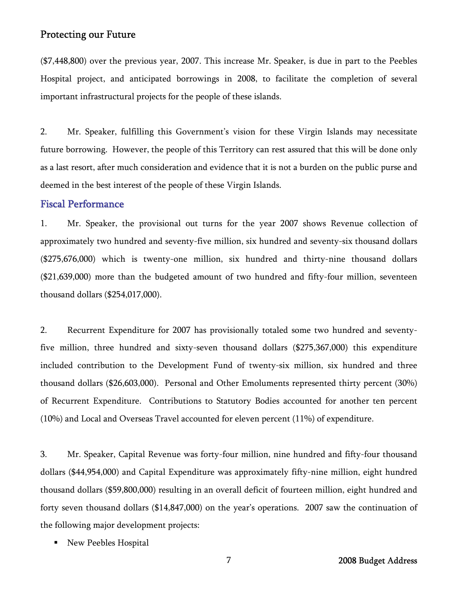(\$7,448,800) over the previous year, 2007. This increase Mr. Speaker, is due in part to the Peebles Hospital project, and anticipated borrowings in 2008, to facilitate the completion of several important infrastructural projects for the people of these islands.

2. Mr. Speaker, fulfilling this Government's vision for these Virgin Islands may necessitate future borrowing. However, the people of this Territory can rest assured that this will be done only as a last resort, after much consideration and evidence that it is not a burden on the public purse and deemed in the best interest of the people of these Virgin Islands.

#### Fiscal Performance

1. Mr. Speaker, the provisional out turns for the year 2007 shows Revenue collection of approximately two hundred and seventy-five million, six hundred and seventy-six thousand dollars (\$275,676,000) which is twenty-one million, six hundred and thirty-nine thousand dollars (\$21,639,000) more than the budgeted amount of two hundred and fifty-four million, seventeen thousand dollars (\$254,017,000).

2. Recurrent Expenditure for 2007 has provisionally totaled some two hundred and seventyfive million, three hundred and sixty-seven thousand dollars (\$275,367,000) this expenditure included contribution to the Development Fund of twenty-six million, six hundred and three thousand dollars (\$26,603,000). Personal and Other Emoluments represented thirty percent (30%) of Recurrent Expenditure. Contributions to Statutory Bodies accounted for another ten percent (10%) and Local and Overseas Travel accounted for eleven percent (11%) of expenditure.

3. Mr. Speaker, Capital Revenue was forty-four million, nine hundred and fifty-four thousand dollars (\$44,954,000) and Capital Expenditure was approximately fifty-nine million, eight hundred thousand dollars (\$59,800,000) resulting in an overall deficit of fourteen million, eight hundred and forty seven thousand dollars (\$14,847,000) on the year's operations. 2007 saw the continuation of the following major development projects:

New Peebles Hospital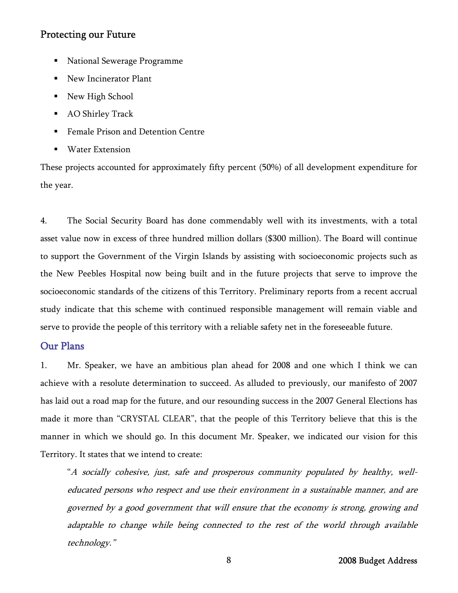- **National Sewerage Programme**
- New Incinerator Plant
- New High School
- AO Shirley Track
- Female Prison and Detention Centre
- Water Extension

These projects accounted for approximately fifty percent (50%) of all development expenditure for the year.

4. The Social Security Board has done commendably well with its investments, with a total asset value now in excess of three hundred million dollars (\$300 million). The Board will continue to support the Government of the Virgin Islands by assisting with socioeconomic projects such as the New Peebles Hospital now being built and in the future projects that serve to improve the socioeconomic standards of the citizens of this Territory. Preliminary reports from a recent accrual study indicate that this scheme with continued responsible management will remain viable and serve to provide the people of this territory with a reliable safety net in the foreseeable future.

## Our Plans

1. Mr. Speaker, we have an ambitious plan ahead for 2008 and one which I think we can achieve with a resolute determination to succeed. As alluded to previously, our manifesto of 2007 has laid out a road map for the future, and our resounding success in the 2007 General Elections has made it more than "CRYSTAL CLEAR", that the people of this Territory believe that this is the manner in which we should go. In this document Mr. Speaker, we indicated our vision for this Territory. It states that we intend to create:

"A socially cohesive, just, safe and prosperous community populated by healthy, welleducated persons who respect and use their environment in a sustainable manner, and are governed by a good government that will ensure that the economy is strong, growing and adaptable to change while being connected to the rest of the world through available technology."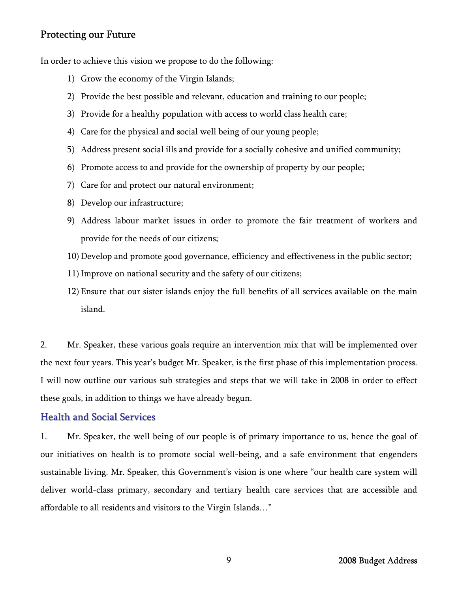In order to achieve this vision we propose to do the following:

- 1) Grow the economy of the Virgin Islands;
- 2) Provide the best possible and relevant, education and training to our people;
- 3) Provide for a healthy population with access to world class health care;
- 4) Care for the physical and social well being of our young people;
- 5) Address present social ills and provide for a socially cohesive and unified community;
- 6) Promote access to and provide for the ownership of property by our people;
- 7) Care for and protect our natural environment;
- 8) Develop our infrastructure;
- 9) Address labour market issues in order to promote the fair treatment of workers and provide for the needs of our citizens;
- 10) Develop and promote good governance, efficiency and effectiveness in the public sector;
- 11)Improve on national security and the safety of our citizens;
- 12) Ensure that our sister islands enjoy the full benefits of all services available on the main island.

2. Mr. Speaker, these various goals require an intervention mix that will be implemented over the next four years. This year's budget Mr. Speaker, is the first phase of this implementation process. I will now outline our various sub strategies and steps that we will take in 2008 in order to effect these goals, in addition to things we have already begun.

# Health and Social Services

1. Mr. Speaker, the well being of our people is of primary importance to us, hence the goal of our initiatives on health is to promote social well-being, and a safe environment that engenders sustainable living. Mr. Speaker, this Government's vision is one where "our health care system will deliver world-class primary, secondary and tertiary health care services that are accessible and affordable to all residents and visitors to the Virgin Islands…"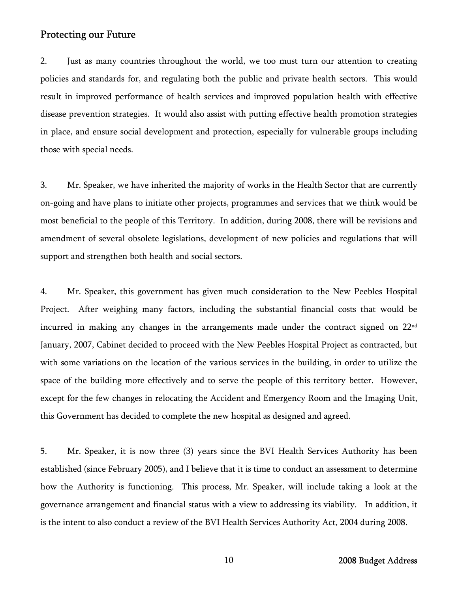2. Just as many countries throughout the world, we too must turn our attention to creating policies and standards for, and regulating both the public and private health sectors. This would result in improved performance of health services and improved population health with effective disease prevention strategies. It would also assist with putting effective health promotion strategies in place, and ensure social development and protection, especially for vulnerable groups including those with special needs.

3. Mr. Speaker, we have inherited the majority of works in the Health Sector that are currently on-going and have plans to initiate other projects, programmes and services that we think would be most beneficial to the people of this Territory. In addition, during 2008, there will be revisions and amendment of several obsolete legislations, development of new policies and regulations that will support and strengthen both health and social sectors.

4. Mr. Speaker, this government has given much consideration to the New Peebles Hospital Project. After weighing many factors, including the substantial financial costs that would be incurred in making any changes in the arrangements made under the contract signed on 22<sup>nd</sup> January, 2007, Cabinet decided to proceed with the New Peebles Hospital Project as contracted, but with some variations on the location of the various services in the building, in order to utilize the space of the building more effectively and to serve the people of this territory better. However, except for the few changes in relocating the Accident and Emergency Room and the Imaging Unit, this Government has decided to complete the new hospital as designed and agreed.

5. Mr. Speaker, it is now three (3) years since the BVI Health Services Authority has been established (since February 2005), and I believe that it is time to conduct an assessment to determine how the Authority is functioning. This process, Mr. Speaker, will include taking a look at the governance arrangement and financial status with a view to addressing its viability. In addition, it is the intent to also conduct a review of the BVI Health Services Authority Act, 2004 during 2008.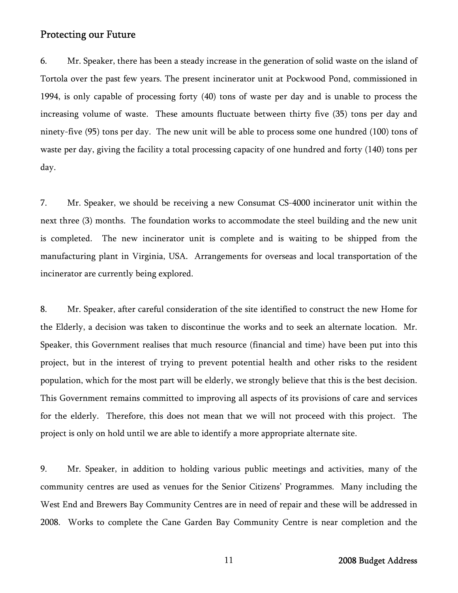6. Mr. Speaker, there has been a steady increase in the generation of solid waste on the island of Tortola over the past few years. The present incinerator unit at Pockwood Pond, commissioned in 1994, is only capable of processing forty (40) tons of waste per day and is unable to process the increasing volume of waste. These amounts fluctuate between thirty five (35) tons per day and ninety-five (95) tons per day. The new unit will be able to process some one hundred (100) tons of waste per day, giving the facility a total processing capacity of one hundred and forty (140) tons per day.

7. Mr. Speaker, we should be receiving a new Consumat CS-4000 incinerator unit within the next three (3) months. The foundation works to accommodate the steel building and the new unit is completed. The new incinerator unit is complete and is waiting to be shipped from the manufacturing plant in Virginia, USA. Arrangements for overseas and local transportation of the incinerator are currently being explored.

8. Mr. Speaker, after careful consideration of the site identified to construct the new Home for the Elderly, a decision was taken to discontinue the works and to seek an alternate location. Mr. Speaker, this Government realises that much resource (financial and time) have been put into this project, but in the interest of trying to prevent potential health and other risks to the resident population, which for the most part will be elderly, we strongly believe that this is the best decision. This Government remains committed to improving all aspects of its provisions of care and services for the elderly. Therefore, this does not mean that we will not proceed with this project. The project is only on hold until we are able to identify a more appropriate alternate site.

 9. Mr. Speaker, in addition to holding various public meetings and activities, many of the community centres are used as venues for the Senior Citizens' Programmes. Many including the West End and Brewers Bay Community Centres are in need of repair and these will be addressed in 2008. Works to complete the Cane Garden Bay Community Centre is near completion and the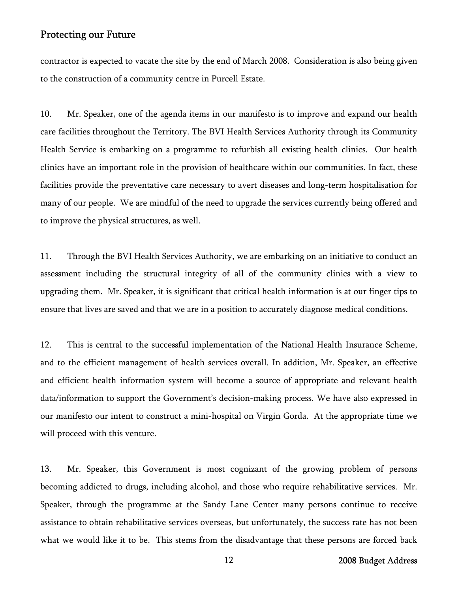contractor is expected to vacate the site by the end of March 2008. Consideration is also being given to the construction of a community centre in Purcell Estate.

10. Mr. Speaker, one of the agenda items in our manifesto is to improve and expand our health care facilities throughout the Territory. The BVI Health Services Authority through its Community Health Service is embarking on a programme to refurbish all existing health clinics. Our health clinics have an important role in the provision of healthcare within our communities. In fact, these facilities provide the preventative care necessary to avert diseases and long-term hospitalisation for many of our people. We are mindful of the need to upgrade the services currently being offered and to improve the physical structures, as well.

11. Through the BVI Health Services Authority, we are embarking on an initiative to conduct an assessment including the structural integrity of all of the community clinics with a view to upgrading them. Mr. Speaker, it is significant that critical health information is at our finger tips to ensure that lives are saved and that we are in a position to accurately diagnose medical conditions.

12. This is central to the successful implementation of the National Health Insurance Scheme, and to the efficient management of health services overall. In addition, Mr. Speaker, an effective and efficient health information system will become a source of appropriate and relevant health data/information to support the Government's decision-making process. We have also expressed in our manifesto our intent to construct a mini-hospital on Virgin Gorda. At the appropriate time we will proceed with this venture.

13. Mr. Speaker, this Government is most cognizant of the growing problem of persons becoming addicted to drugs, including alcohol, and those who require rehabilitative services. Mr. Speaker, through the programme at the Sandy Lane Center many persons continue to receive assistance to obtain rehabilitative services overseas, but unfortunately, the success rate has not been what we would like it to be. This stems from the disadvantage that these persons are forced back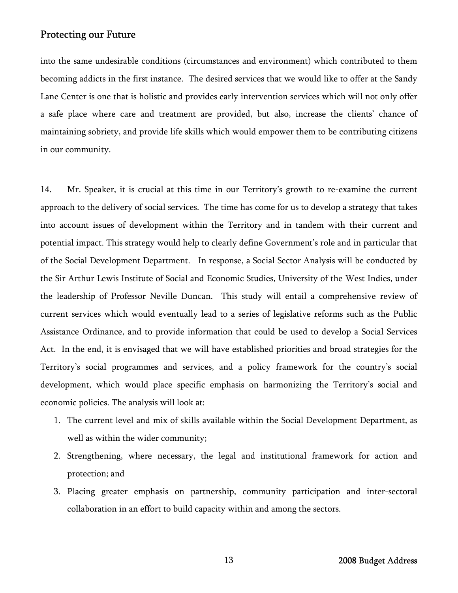into the same undesirable conditions (circumstances and environment) which contributed to them becoming addicts in the first instance. The desired services that we would like to offer at the Sandy Lane Center is one that is holistic and provides early intervention services which will not only offer a safe place where care and treatment are provided, but also, increase the clients' chance of maintaining sobriety, and provide life skills which would empower them to be contributing citizens in our community.

14. Mr. Speaker, it is crucial at this time in our Territory's growth to re-examine the current approach to the delivery of social services. The time has come for us to develop a strategy that takes into account issues of development within the Territory and in tandem with their current and potential impact. This strategy would help to clearly define Government's role and in particular that of the Social Development Department. In response, a Social Sector Analysis will be conducted by the Sir Arthur Lewis Institute of Social and Economic Studies, University of the West Indies, under the leadership of Professor Neville Duncan. This study will entail a comprehensive review of current services which would eventually lead to a series of legislative reforms such as the Public Assistance Ordinance, and to provide information that could be used to develop a Social Services Act. In the end, it is envisaged that we will have established priorities and broad strategies for the Territory's social programmes and services, and a policy framework for the country's social development, which would place specific emphasis on harmonizing the Territory's social and economic policies. The analysis will look at:

- 1. The current level and mix of skills available within the Social Development Department, as well as within the wider community;
- 2. Strengthening, where necessary, the legal and institutional framework for action and protection; and
- 3. Placing greater emphasis on partnership, community participation and inter-sectoral collaboration in an effort to build capacity within and among the sectors.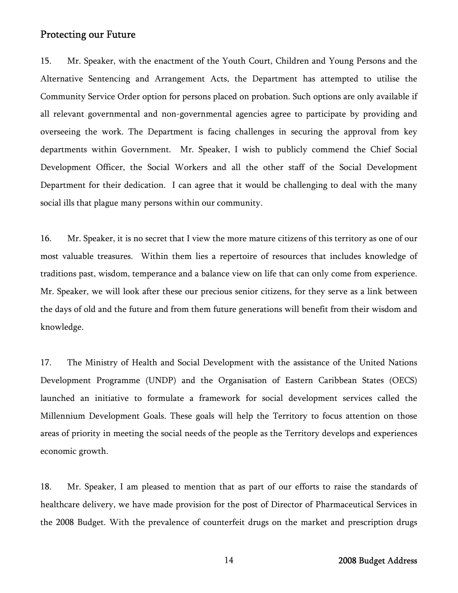15. Mr. Speaker, with the enactment of the Youth Court, Children and Young Persons and the Alternative Sentencing and Arrangement Acts, the Department has attempted to utilise the Community Service Order option for persons placed on probation. Such options are only available if all relevant governmental and non-governmental agencies agree to participate by providing and overseeing the work. The Department is facing challenges in securing the approval from key departments within Government. Mr. Speaker, I wish to publicly commend the Chief Social Development Officer, the Social Workers and all the other staff of the Social Development Department for their dedication. I can agree that it would be challenging to deal with the many social ills that plague many persons within our community.

16. Mr. Speaker, it is no secret that I view the more mature citizens of this territory as one of our most valuable treasures. Within them lies a repertoire of resources that includes knowledge of traditions past, wisdom, temperance and a balance view on life that can only come from experience. Mr. Speaker, we will look after these our precious senior citizens, for they serve as a link between the days of old and the future and from them future generations will benefit from their wisdom and knowledge.

17. The Ministry of Health and Social Development with the assistance of the United Nations Development Programme (UNDP) and the Organisation of Eastern Caribbean States (OECS) launched an initiative to formulate a framework for social development services called the Millennium Development Goals. These goals will help the Territory to focus attention on those areas of priority in meeting the social needs of the people as the Territory develops and experiences economic growth.

18. Mr. Speaker, I am pleased to mention that as part of our efforts to raise the standards of healthcare delivery, we have made provision for the post of Director of Pharmaceutical Services in the 2008 Budget. With the prevalence of counterfeit drugs on the market and prescription drugs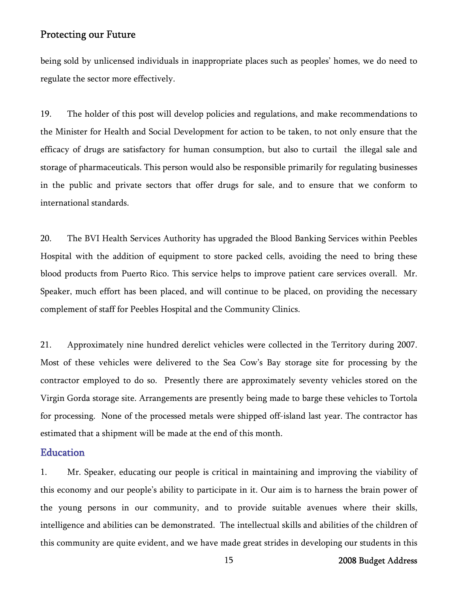being sold by unlicensed individuals in inappropriate places such as peoples' homes, we do need to regulate the sector more effectively.

19. The holder of this post will develop policies and regulations, and make recommendations to the Minister for Health and Social Development for action to be taken, to not only ensure that the efficacy of drugs are satisfactory for human consumption, but also to curtail the illegal sale and storage of pharmaceuticals. This person would also be responsible primarily for regulating businesses in the public and private sectors that offer drugs for sale, and to ensure that we conform to international standards.

20. The BVI Health Services Authority has upgraded the Blood Banking Services within Peebles Hospital with the addition of equipment to store packed cells, avoiding the need to bring these blood products from Puerto Rico. This service helps to improve patient care services overall. Mr. Speaker, much effort has been placed, and will continue to be placed, on providing the necessary complement of staff for Peebles Hospital and the Community Clinics.

21. Approximately nine hundred derelict vehicles were collected in the Territory during 2007. Most of these vehicles were delivered to the Sea Cow's Bay storage site for processing by the contractor employed to do so. Presently there are approximately seventy vehicles stored on the Virgin Gorda storage site. Arrangements are presently being made to barge these vehicles to Tortola for processing. None of the processed metals were shipped off-island last year. The contractor has estimated that a shipment will be made at the end of this month.

#### **Education**

1. Mr. Speaker, educating our people is critical in maintaining and improving the viability of this economy and our people's ability to participate in it. Our aim is to harness the brain power of the young persons in our community, and to provide suitable avenues where their skills, intelligence and abilities can be demonstrated. The intellectual skills and abilities of the children of this community are quite evident, and we have made great strides in developing our students in this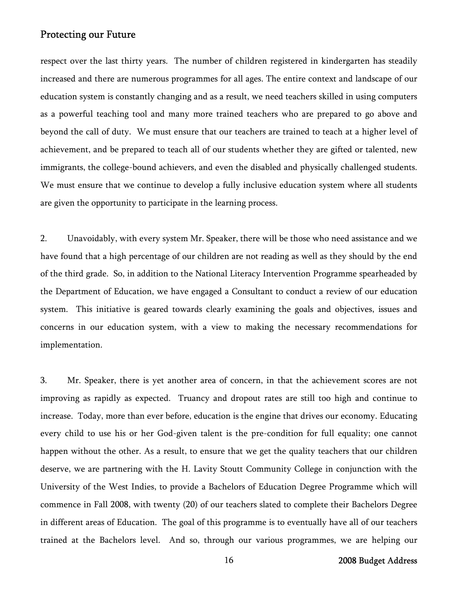respect over the last thirty years. The number of children registered in kindergarten has steadily increased and there are numerous programmes for all ages. The entire context and landscape of our education system is constantly changing and as a result, we need teachers skilled in using computers as a powerful teaching tool and many more trained teachers who are prepared to go above and beyond the call of duty. We must ensure that our teachers are trained to teach at a higher level of achievement, and be prepared to teach all of our students whether they are gifted or talented, new immigrants, the college-bound achievers, and even the disabled and physically challenged students. We must ensure that we continue to develop a fully inclusive education system where all students are given the opportunity to participate in the learning process.

2. Unavoidably, with every system Mr. Speaker, there will be those who need assistance and we have found that a high percentage of our children are not reading as well as they should by the end of the third grade. So, in addition to the National Literacy Intervention Programme spearheaded by the Department of Education, we have engaged a Consultant to conduct a review of our education system. This initiative is geared towards clearly examining the goals and objectives, issues and concerns in our education system, with a view to making the necessary recommendations for implementation.

3. Mr. Speaker, there is yet another area of concern, in that the achievement scores are not improving as rapidly as expected. Truancy and dropout rates are still too high and continue to increase. Today, more than ever before, education is the engine that drives our economy. Educating every child to use his or her God-given talent is the pre-condition for full equality; one cannot happen without the other. As a result, to ensure that we get the quality teachers that our children deserve, we are partnering with the H. Lavity Stoutt Community College in conjunction with the University of the West Indies, to provide a Bachelors of Education Degree Programme which will commence in Fall 2008, with twenty (20) of our teachers slated to complete their Bachelors Degree in different areas of Education. The goal of this programme is to eventually have all of our teachers trained at the Bachelors level. And so, through our various programmes, we are helping our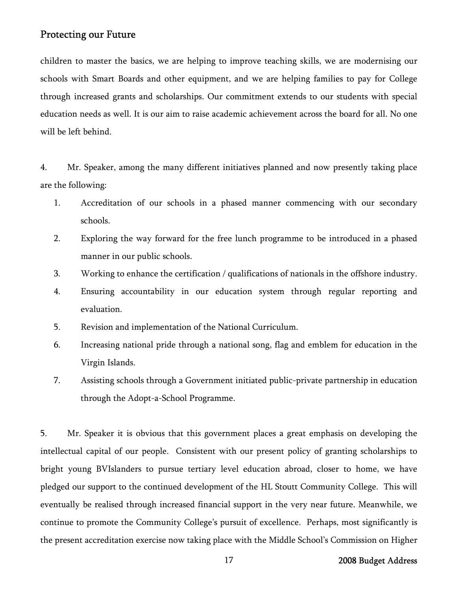children to master the basics, we are helping to improve teaching skills, we are modernising our schools with Smart Boards and other equipment, and we are helping families to pay for College through increased grants and scholarships. Our commitment extends to our students with special education needs as well. It is our aim to raise academic achievement across the board for all. No one will be left behind.

4. Mr. Speaker, among the many different initiatives planned and now presently taking place are the following:

- 1. Accreditation of our schools in a phased manner commencing with our secondary schools.
- 2. Exploring the way forward for the free lunch programme to be introduced in a phased manner in our public schools.
- 3. Working to enhance the certification / qualifications of nationals in the offshore industry.
- 4. Ensuring accountability in our education system through regular reporting and evaluation.
- 5. Revision and implementation of the National Curriculum.
- 6. Increasing national pride through a national song, flag and emblem for education in the Virgin Islands.
- 7. Assisting schools through a Government initiated public-private partnership in education through the Adopt-a-School Programme.

5. Mr. Speaker it is obvious that this government places a great emphasis on developing the intellectual capital of our people. Consistent with our present policy of granting scholarships to bright young BVIslanders to pursue tertiary level education abroad, closer to home, we have pledged our support to the continued development of the HL Stoutt Community College. This will eventually be realised through increased financial support in the very near future. Meanwhile, we continue to promote the Community College's pursuit of excellence. Perhaps, most significantly is the present accreditation exercise now taking place with the Middle School's Commission on Higher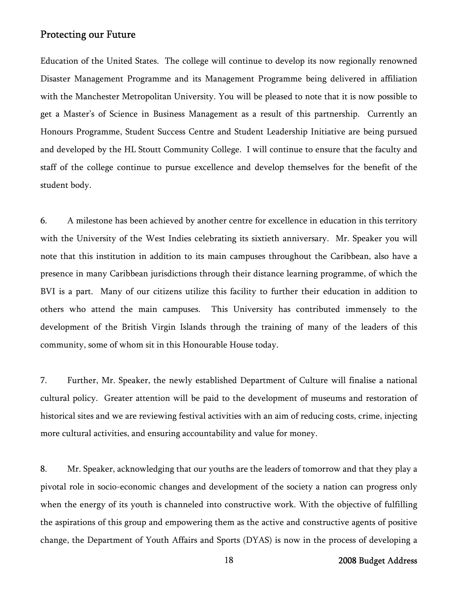Education of the United States. The college will continue to develop its now regionally renowned Disaster Management Programme and its Management Programme being delivered in affiliation with the Manchester Metropolitan University. You will be pleased to note that it is now possible to get a Master's of Science in Business Management as a result of this partnership. Currently an Honours Programme, Student Success Centre and Student Leadership Initiative are being pursued and developed by the HL Stoutt Community College. I will continue to ensure that the faculty and staff of the college continue to pursue excellence and develop themselves for the benefit of the student body.

6. A milestone has been achieved by another centre for excellence in education in this territory with the University of the West Indies celebrating its sixtieth anniversary. Mr. Speaker you will note that this institution in addition to its main campuses throughout the Caribbean, also have a presence in many Caribbean jurisdictions through their distance learning programme, of which the BVI is a part. Many of our citizens utilize this facility to further their education in addition to others who attend the main campuses. This University has contributed immensely to the development of the British Virgin Islands through the training of many of the leaders of this community, some of whom sit in this Honourable House today.

7. Further, Mr. Speaker, the newly established Department of Culture will finalise a national cultural policy. Greater attention will be paid to the development of museums and restoration of historical sites and we are reviewing festival activities with an aim of reducing costs, crime, injecting more cultural activities, and ensuring accountability and value for money.

8. Mr. Speaker, acknowledging that our youths are the leaders of tomorrow and that they play a pivotal role in socio-economic changes and development of the society a nation can progress only when the energy of its youth is channeled into constructive work. With the objective of fulfilling the aspirations of this group and empowering them as the active and constructive agents of positive change, the Department of Youth Affairs and Sports (DYAS) is now in the process of developing a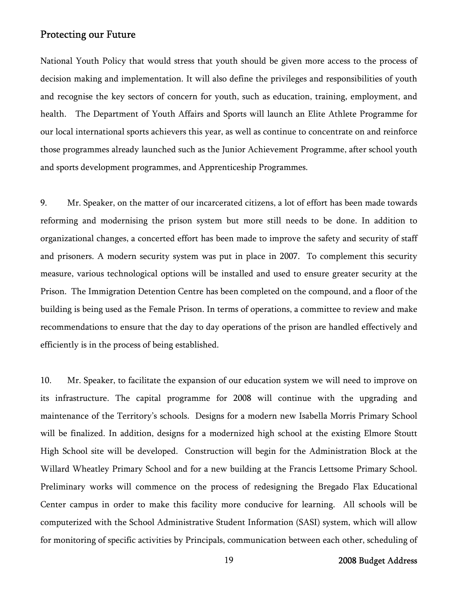National Youth Policy that would stress that youth should be given more access to the process of decision making and implementation. It will also define the privileges and responsibilities of youth and recognise the key sectors of concern for youth, such as education, training, employment, and health. The Department of Youth Affairs and Sports will launch an Elite Athlete Programme for our local international sports achievers this year, as well as continue to concentrate on and reinforce those programmes already launched such as the Junior Achievement Programme, after school youth and sports development programmes, and Apprenticeship Programmes.

9. Mr. Speaker, on the matter of our incarcerated citizens, a lot of effort has been made towards reforming and modernising the prison system but more still needs to be done. In addition to organizational changes, a concerted effort has been made to improve the safety and security of staff and prisoners. A modern security system was put in place in 2007. To complement this security measure, various technological options will be installed and used to ensure greater security at the Prison. The Immigration Detention Centre has been completed on the compound, and a floor of the building is being used as the Female Prison. In terms of operations, a committee to review and make recommendations to ensure that the day to day operations of the prison are handled effectively and efficiently is in the process of being established.

10. Mr. Speaker, to facilitate the expansion of our education system we will need to improve on its infrastructure. The capital programme for 2008 will continue with the upgrading and maintenance of the Territory's schools. Designs for a modern new Isabella Morris Primary School will be finalized. In addition, designs for a modernized high school at the existing Elmore Stoutt High School site will be developed. Construction will begin for the Administration Block at the Willard Wheatley Primary School and for a new building at the Francis Lettsome Primary School. Preliminary works will commence on the process of redesigning the Bregado Flax Educational Center campus in order to make this facility more conducive for learning. All schools will be computerized with the School Administrative Student Information (SASI) system, which will allow for monitoring of specific activities by Principals, communication between each other, scheduling of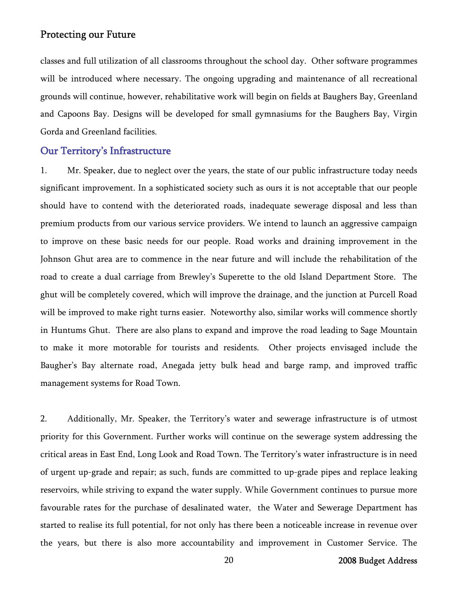classes and full utilization of all classrooms throughout the school day. Other software programmes will be introduced where necessary. The ongoing upgrading and maintenance of all recreational grounds will continue, however, rehabilitative work will begin on fields at Baughers Bay, Greenland and Capoons Bay. Designs will be developed for small gymnasiums for the Baughers Bay, Virgin Gorda and Greenland facilities.

# Our Territory's Infrastructure

1. Mr. Speaker, due to neglect over the years, the state of our public infrastructure today needs significant improvement. In a sophisticated society such as ours it is not acceptable that our people should have to contend with the deteriorated roads, inadequate sewerage disposal and less than premium products from our various service providers. We intend to launch an aggressive campaign to improve on these basic needs for our people. Road works and draining improvement in the Johnson Ghut area are to commence in the near future and will include the rehabilitation of the road to create a dual carriage from Brewley's Superette to the old Island Department Store. The ghut will be completely covered, which will improve the drainage, and the junction at Purcell Road will be improved to make right turns easier. Noteworthy also, similar works will commence shortly in Huntums Ghut. There are also plans to expand and improve the road leading to Sage Mountain to make it more motorable for tourists and residents. Other projects envisaged include the Baugher's Bay alternate road, Anegada jetty bulk head and barge ramp, and improved traffic management systems for Road Town.

2. Additionally, Mr. Speaker, the Territory's water and sewerage infrastructure is of utmost priority for this Government. Further works will continue on the sewerage system addressing the critical areas in East End, Long Look and Road Town. The Territory's water infrastructure is in need of urgent up-grade and repair; as such, funds are committed to up-grade pipes and replace leaking reservoirs, while striving to expand the water supply. While Government continues to pursue more favourable rates for the purchase of desalinated water, the Water and Sewerage Department has started to realise its full potential, for not only has there been a noticeable increase in revenue over the years, but there is also more accountability and improvement in Customer Service. The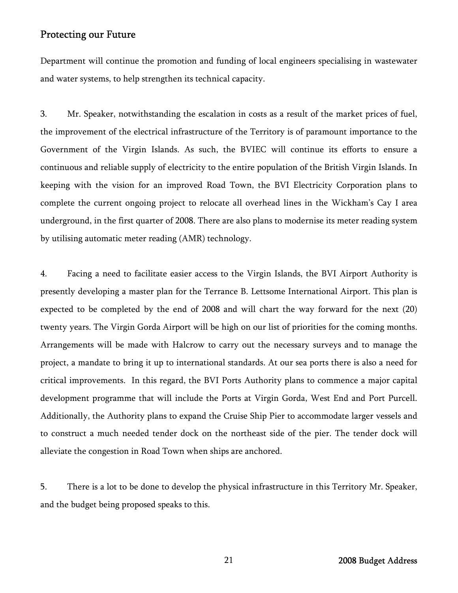Department will continue the promotion and funding of local engineers specialising in wastewater and water systems, to help strengthen its technical capacity.

3. Mr. Speaker, notwithstanding the escalation in costs as a result of the market prices of fuel, the improvement of the electrical infrastructure of the Territory is of paramount importance to the Government of the Virgin Islands. As such, the BVIEC will continue its efforts to ensure a continuous and reliable supply of electricity to the entire population of the British Virgin Islands. In keeping with the vision for an improved Road Town, the BVI Electricity Corporation plans to complete the current ongoing project to relocate all overhead lines in the Wickham's Cay I area underground, in the first quarter of 2008. There are also plans to modernise its meter reading system by utilising automatic meter reading (AMR) technology.

4. Facing a need to facilitate easier access to the Virgin Islands, the BVI Airport Authority is presently developing a master plan for the Terrance B. Lettsome International Airport. This plan is expected to be completed by the end of 2008 and will chart the way forward for the next (20) twenty years. The Virgin Gorda Airport will be high on our list of priorities for the coming months. Arrangements will be made with Halcrow to carry out the necessary surveys and to manage the project, a mandate to bring it up to international standards. At our sea ports there is also a need for critical improvements. In this regard, the BVI Ports Authority plans to commence a major capital development programme that will include the Ports at Virgin Gorda, West End and Port Purcell. Additionally, the Authority plans to expand the Cruise Ship Pier to accommodate larger vessels and to construct a much needed tender dock on the northeast side of the pier. The tender dock will alleviate the congestion in Road Town when ships are anchored.

5. There is a lot to be done to develop the physical infrastructure in this Territory Mr. Speaker, and the budget being proposed speaks to this.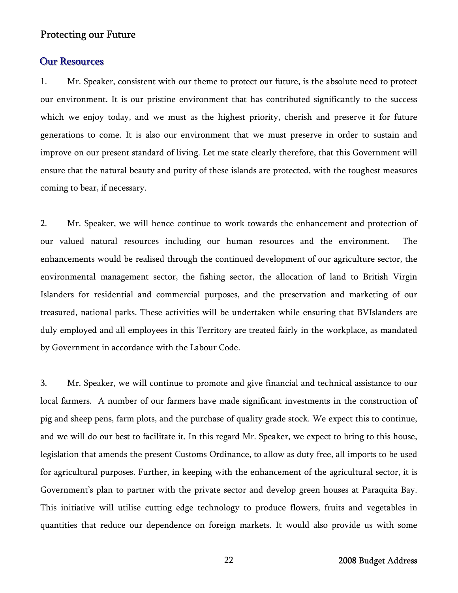#### **Our Resources**

1. Mr. Speaker, consistent with our theme to protect our future, is the absolute need to protect our environment. It is our pristine environment that has contributed significantly to the success which we enjoy today, and we must as the highest priority, cherish and preserve it for future generations to come. It is also our environment that we must preserve in order to sustain and improve on our present standard of living. Let me state clearly therefore, that this Government will ensure that the natural beauty and purity of these islands are protected, with the toughest measures coming to bear, if necessary.

2. Mr. Speaker, we will hence continue to work towards the enhancement and protection of our valued natural resources including our human resources and the environment. The enhancements would be realised through the continued development of our agriculture sector, the environmental management sector, the fishing sector, the allocation of land to British Virgin Islanders for residential and commercial purposes, and the preservation and marketing of our treasured, national parks. These activities will be undertaken while ensuring that BVIslanders are duly employed and all employees in this Territory are treated fairly in the workplace, as mandated by Government in accordance with the Labour Code.

3. Mr. Speaker, we will continue to promote and give financial and technical assistance to our local farmers. A number of our farmers have made significant investments in the construction of pig and sheep pens, farm plots, and the purchase of quality grade stock. We expect this to continue, and we will do our best to facilitate it. In this regard Mr. Speaker, we expect to bring to this house, legislation that amends the present Customs Ordinance, to allow as duty free, all imports to be used for agricultural purposes. Further, in keeping with the enhancement of the agricultural sector, it is Government's plan to partner with the private sector and develop green houses at Paraquita Bay. This initiative will utilise cutting edge technology to produce flowers, fruits and vegetables in quantities that reduce our dependence on foreign markets. It would also provide us with some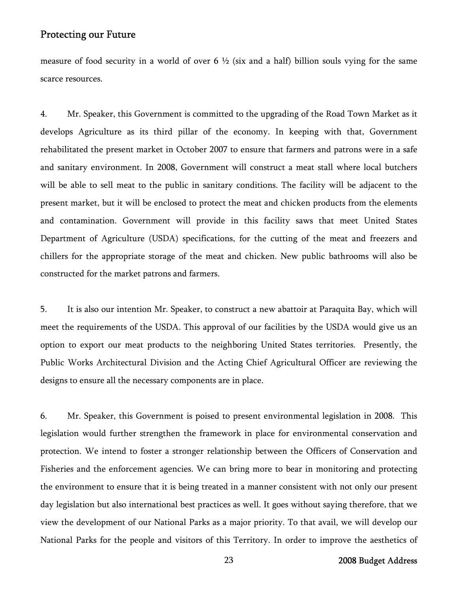measure of food security in a world of over 6  $\frac{1}{2}$  (six and a half) billion souls vying for the same scarce resources.

4. Mr. Speaker, this Government is committed to the upgrading of the Road Town Market as it develops Agriculture as its third pillar of the economy. In keeping with that, Government rehabilitated the present market in October 2007 to ensure that farmers and patrons were in a safe and sanitary environment. In 2008, Government will construct a meat stall where local butchers will be able to sell meat to the public in sanitary conditions. The facility will be adjacent to the present market, but it will be enclosed to protect the meat and chicken products from the elements and contamination. Government will provide in this facility saws that meet United States Department of Agriculture (USDA) specifications, for the cutting of the meat and freezers and chillers for the appropriate storage of the meat and chicken. New public bathrooms will also be constructed for the market patrons and farmers.

5. It is also our intention Mr. Speaker, to construct a new abattoir at Paraquita Bay, which will meet the requirements of the USDA. This approval of our facilities by the USDA would give us an option to export our meat products to the neighboring United States territories. Presently, the Public Works Architectural Division and the Acting Chief Agricultural Officer are reviewing the designs to ensure all the necessary components are in place.

6. Mr. Speaker, this Government is poised to present environmental legislation in 2008. This legislation would further strengthen the framework in place for environmental conservation and protection. We intend to foster a stronger relationship between the Officers of Conservation and Fisheries and the enforcement agencies. We can bring more to bear in monitoring and protecting the environment to ensure that it is being treated in a manner consistent with not only our present day legislation but also international best practices as well. It goes without saying therefore, that we view the development of our National Parks as a major priority. To that avail, we will develop our National Parks for the people and visitors of this Territory. In order to improve the aesthetics of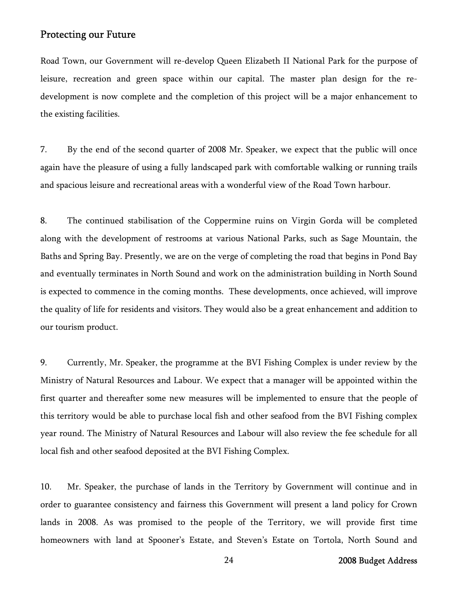Road Town, our Government will re-develop Queen Elizabeth II National Park for the purpose of leisure, recreation and green space within our capital. The master plan design for the redevelopment is now complete and the completion of this project will be a major enhancement to the existing facilities.

7. By the end of the second quarter of 2008 Mr. Speaker, we expect that the public will once again have the pleasure of using a fully landscaped park with comfortable walking or running trails and spacious leisure and recreational areas with a wonderful view of the Road Town harbour.

8. The continued stabilisation of the Coppermine ruins on Virgin Gorda will be completed along with the development of restrooms at various National Parks, such as Sage Mountain, the Baths and Spring Bay. Presently, we are on the verge of completing the road that begins in Pond Bay and eventually terminates in North Sound and work on the administration building in North Sound is expected to commence in the coming months. These developments, once achieved, will improve the quality of life for residents and visitors. They would also be a great enhancement and addition to our tourism product.

9. Currently, Mr. Speaker, the programme at the BVI Fishing Complex is under review by the Ministry of Natural Resources and Labour. We expect that a manager will be appointed within the first quarter and thereafter some new measures will be implemented to ensure that the people of this territory would be able to purchase local fish and other seafood from the BVI Fishing complex year round. The Ministry of Natural Resources and Labour will also review the fee schedule for all local fish and other seafood deposited at the BVI Fishing Complex.

10. Mr. Speaker, the purchase of lands in the Territory by Government will continue and in order to guarantee consistency and fairness this Government will present a land policy for Crown lands in 2008. As was promised to the people of the Territory, we will provide first time homeowners with land at Spooner's Estate, and Steven's Estate on Tortola, North Sound and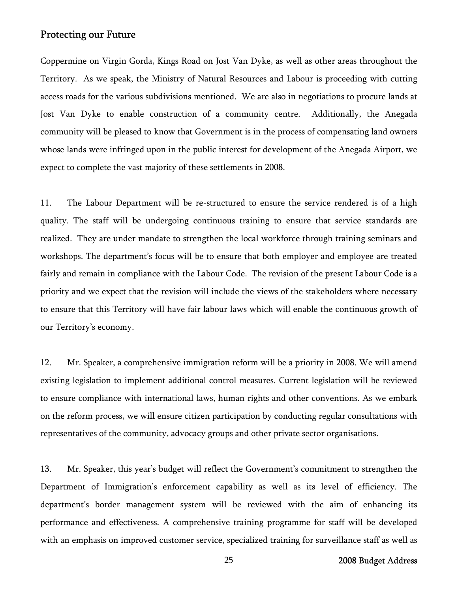Coppermine on Virgin Gorda, Kings Road on Jost Van Dyke, as well as other areas throughout the Territory. As we speak, the Ministry of Natural Resources and Labour is proceeding with cutting access roads for the various subdivisions mentioned. We are also in negotiations to procure lands at Jost Van Dyke to enable construction of a community centre. Additionally, the Anegada community will be pleased to know that Government is in the process of compensating land owners whose lands were infringed upon in the public interest for development of the Anegada Airport, we expect to complete the vast majority of these settlements in 2008.

11. The Labour Department will be re-structured to ensure the service rendered is of a high quality. The staff will be undergoing continuous training to ensure that service standards are realized. They are under mandate to strengthen the local workforce through training seminars and workshops. The department's focus will be to ensure that both employer and employee are treated fairly and remain in compliance with the Labour Code. The revision of the present Labour Code is a priority and we expect that the revision will include the views of the stakeholders where necessary to ensure that this Territory will have fair labour laws which will enable the continuous growth of our Territory's economy.

12. Mr. Speaker, a comprehensive immigration reform will be a priority in 2008. We will amend existing legislation to implement additional control measures. Current legislation will be reviewed to ensure compliance with international laws, human rights and other conventions. As we embark on the reform process, we will ensure citizen participation by conducting regular consultations with representatives of the community, advocacy groups and other private sector organisations.

13. Mr. Speaker, this year's budget will reflect the Government's commitment to strengthen the Department of Immigration's enforcement capability as well as its level of efficiency. The department's border management system will be reviewed with the aim of enhancing its performance and effectiveness. A comprehensive training programme for staff will be developed with an emphasis on improved customer service, specialized training for surveillance staff as well as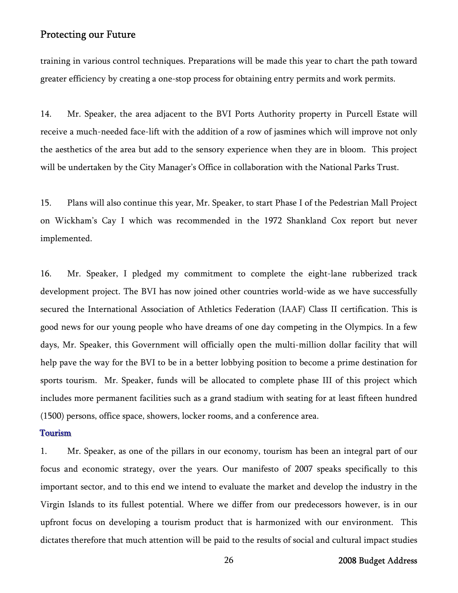training in various control techniques. Preparations will be made this year to chart the path toward greater efficiency by creating a one-stop process for obtaining entry permits and work permits.

14. Mr. Speaker, the area adjacent to the BVI Ports Authority property in Purcell Estate will receive a much-needed face-lift with the addition of a row of jasmines which will improve not only the aesthetics of the area but add to the sensory experience when they are in bloom. This project will be undertaken by the City Manager's Office in collaboration with the National Parks Trust.

15. Plans will also continue this year, Mr. Speaker, to start Phase I of the Pedestrian Mall Project on Wickham's Cay I which was recommended in the 1972 Shankland Cox report but never implemented.

16. Mr. Speaker, I pledged my commitment to complete the eight-lane rubberized track development project. The BVI has now joined other countries world-wide as we have successfully secured the International Association of Athletics Federation (IAAF) Class II certification. This is good news for our young people who have dreams of one day competing in the Olympics. In a few days, Mr. Speaker, this Government will officially open the multi-million dollar facility that will help pave the way for the BVI to be in a better lobbying position to become a prime destination for sports tourism. Mr. Speaker, funds will be allocated to complete phase III of this project which includes more permanent facilities such as a grand stadium with seating for at least fifteen hundred (1500) persons, office space, showers, locker rooms, and a conference area.

## Tourism

1. Mr. Speaker, as one of the pillars in our economy, tourism has been an integral part of our focus and economic strategy, over the years. Our manifesto of 2007 speaks specifically to this important sector, and to this end we intend to evaluate the market and develop the industry in the Virgin Islands to its fullest potential. Where we differ from our predecessors however, is in our upfront focus on developing a tourism product that is harmonized with our environment. This dictates therefore that much attention will be paid to the results of social and cultural impact studies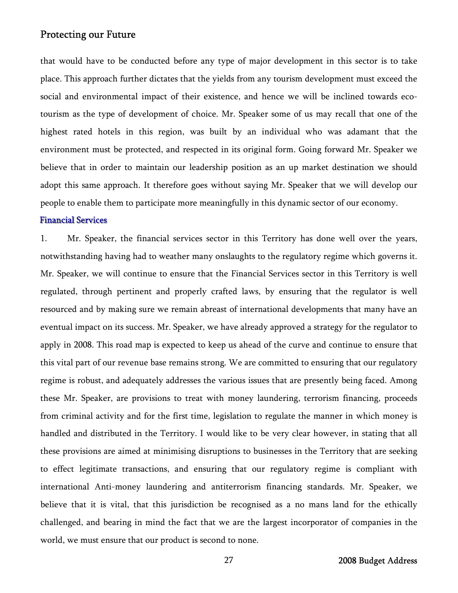that would have to be conducted before any type of major development in this sector is to take place. This approach further dictates that the yields from any tourism development must exceed the social and environmental impact of their existence, and hence we will be inclined towards ecotourism as the type of development of choice. Mr. Speaker some of us may recall that one of the highest rated hotels in this region, was built by an individual who was adamant that the environment must be protected, and respected in its original form. Going forward Mr. Speaker we believe that in order to maintain our leadership position as an up market destination we should adopt this same approach. It therefore goes without saying Mr. Speaker that we will develop our people to enable them to participate more meaningfully in this dynamic sector of our economy.

#### Financial Services

1. Mr. Speaker, the financial services sector in this Territory has done well over the years, notwithstanding having had to weather many onslaughts to the regulatory regime which governs it. Mr. Speaker, we will continue to ensure that the Financial Services sector in this Territory is well regulated, through pertinent and properly crafted laws, by ensuring that the regulator is well resourced and by making sure we remain abreast of international developments that many have an eventual impact on its success. Mr. Speaker, we have already approved a strategy for the regulator to apply in 2008. This road map is expected to keep us ahead of the curve and continue to ensure that this vital part of our revenue base remains strong. We are committed to ensuring that our regulatory regime is robust, and adequately addresses the various issues that are presently being faced. Among these Mr. Speaker, are provisions to treat with money laundering, terrorism financing, proceeds from criminal activity and for the first time, legislation to regulate the manner in which money is handled and distributed in the Territory. I would like to be very clear however, in stating that all these provisions are aimed at minimising disruptions to businesses in the Territory that are seeking to effect legitimate transactions, and ensuring that our regulatory regime is compliant with international Anti-money laundering and antiterrorism financing standards. Mr. Speaker, we believe that it is vital, that this jurisdiction be recognised as a no mans land for the ethically challenged, and bearing in mind the fact that we are the largest incorporator of companies in the world, we must ensure that our product is second to none.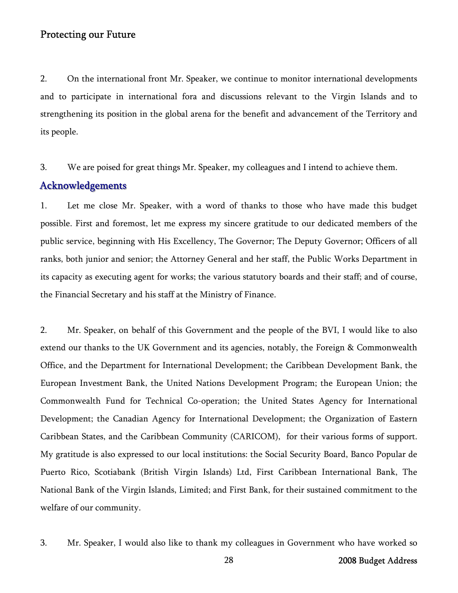2. On the international front Mr. Speaker, we continue to monitor international developments and to participate in international fora and discussions relevant to the Virgin Islands and to strengthening its position in the global arena for the benefit and advancement of the Territory and its people.

3. We are poised for great things Mr. Speaker, my colleagues and I intend to achieve them.

# Acknowledgements

1. Let me close Mr. Speaker, with a word of thanks to those who have made this budget possible. First and foremost, let me express my sincere gratitude to our dedicated members of the public service, beginning with His Excellency, The Governor; The Deputy Governor; Officers of all ranks, both junior and senior; the Attorney General and her staff, the Public Works Department in its capacity as executing agent for works; the various statutory boards and their staff; and of course, the Financial Secretary and his staff at the Ministry of Finance.

2. Mr. Speaker, on behalf of this Government and the people of the BVI, I would like to also extend our thanks to the UK Government and its agencies, notably, the Foreign & Commonwealth Office, and the Department for International Development; the Caribbean Development Bank, the European Investment Bank, the United Nations Development Program; the European Union; the Commonwealth Fund for Technical Co-operation; the United States Agency for International Development; the Canadian Agency for International Development; the Organization of Eastern Caribbean States, and the Caribbean Community (CARICOM), for their various forms of support. My gratitude is also expressed to our local institutions: the Social Security Board, Banco Popular de Puerto Rico, Scotiabank (British Virgin Islands) Ltd, First Caribbean International Bank, The National Bank of the Virgin Islands, Limited; and First Bank, for their sustained commitment to the welfare of our community.

3. Mr. Speaker, I would also like to thank my colleagues in Government who have worked so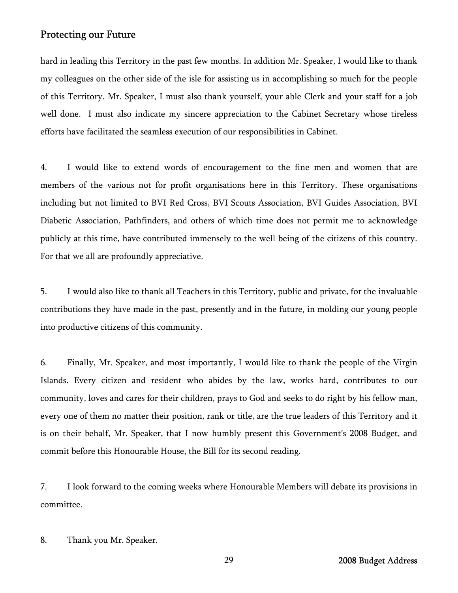hard in leading this Territory in the past few months. In addition Mr. Speaker, I would like to thank my colleagues on the other side of the isle for assisting us in accomplishing so much for the people of this Territory. Mr. Speaker, I must also thank yourself, your able Clerk and your staff for a job well done. I must also indicate my sincere appreciation to the Cabinet Secretary whose tireless efforts have facilitated the seamless execution of our responsibilities in Cabinet.

4. I would like to extend words of encouragement to the fine men and women that are members of the various not for profit organisations here in this Territory. These organisations including but not limited to BVI Red Cross, BVI Scouts Association, BVI Guides Association, BVI Diabetic Association, Pathfinders, and others of which time does not permit me to acknowledge publicly at this time, have contributed immensely to the well being of the citizens of this country. For that we all are profoundly appreciative.

5. I would also like to thank all Teachers in this Territory, public and private, for the invaluable contributions they have made in the past, presently and in the future, in molding our young people into productive citizens of this community.

6. Finally, Mr. Speaker, and most importantly, I would like to thank the people of the Virgin Islands. Every citizen and resident who abides by the law, works hard, contributes to our community, loves and cares for their children, prays to God and seeks to do right by his fellow man, every one of them no matter their position, rank or title, are the true leaders of this Territory and it is on their behalf, Mr. Speaker, that I now humbly present this Government's 2008 Budget, and commit before this Honourable House, the Bill for its second reading.

7. I look forward to the coming weeks where Honourable Members will debate its provisions in committee.

8. Thank you Mr. Speaker.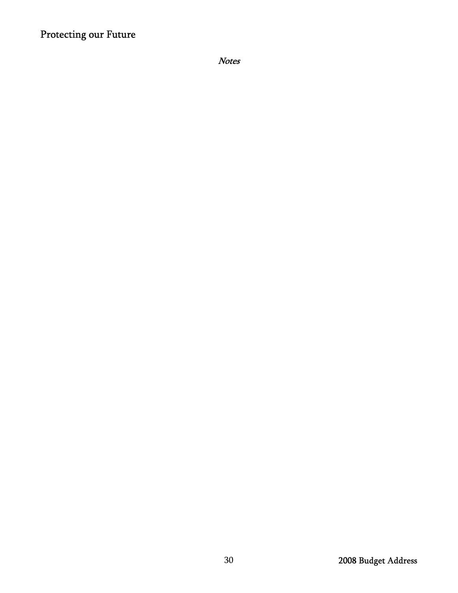Notes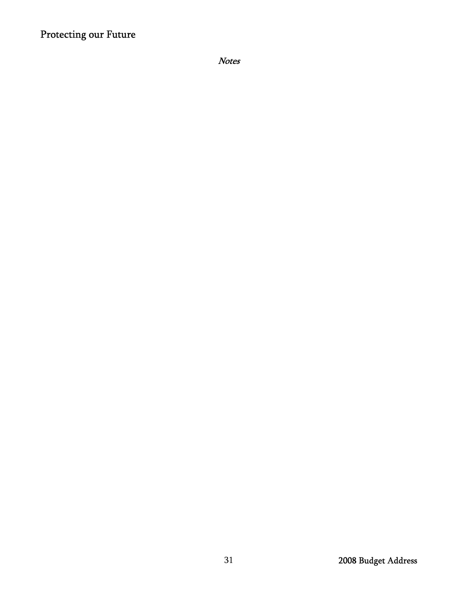Notes